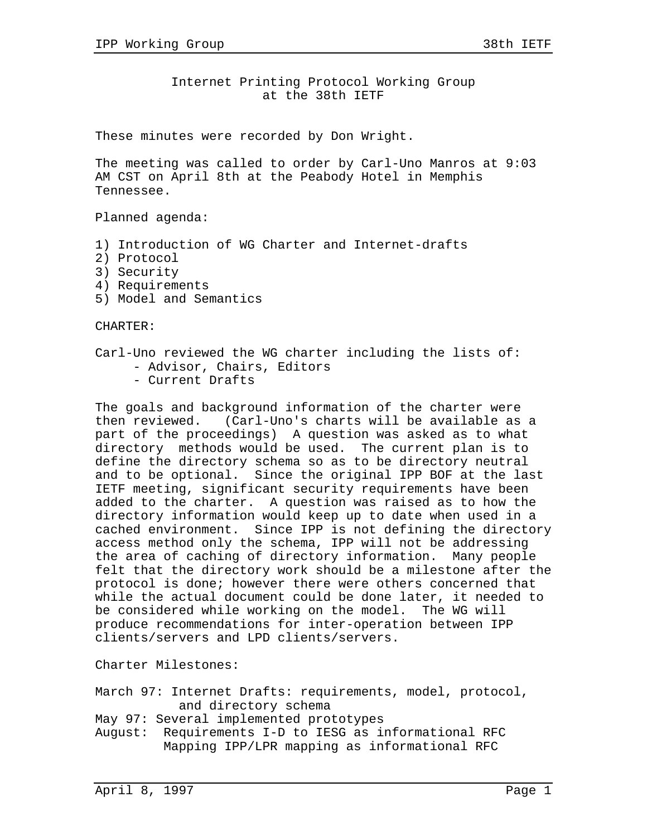Internet Printing Protocol Working Group at the 38th IETF

These minutes were recorded by Don Wright.

The meeting was called to order by Carl-Uno Manros at 9:03 AM CST on April 8th at the Peabody Hotel in Memphis Tennessee.

Planned agenda:

- 1) Introduction of WG Charter and Internet-drafts
- 2) Protocol
- 3) Security
- 4) Requirements
- 5) Model and Semantics

CHARTER:

- Carl-Uno reviewed the WG charter including the lists of:
	- Advisor, Chairs, Editors
	- Current Drafts

The goals and background information of the charter were then reviewed. (Carl-Uno's charts will be available as a part of the proceedings) A question was asked as to what directory methods would be used. The current plan is to define the directory schema so as to be directory neutral and to be optional. Since the original IPP BOF at the last IETF meeting, significant security requirements have been added to the charter. A question was raised as to how the directory information would keep up to date when used in a cached environment. Since IPP is not defining the directory access method only the schema, IPP will not be addressing the area of caching of directory information. Many people felt that the directory work should be a milestone after the protocol is done; however there were others concerned that while the actual document could be done later, it needed to be considered while working on the model. The WG will produce recommendations for inter-operation between IPP clients/servers and LPD clients/servers.

Charter Milestones:

March 97: Internet Drafts: requirements, model, protocol, and directory schema

May 97: Several implemented prototypes

August: Requirements I-D to IESG as informational RFC Mapping IPP/LPR mapping as informational RFC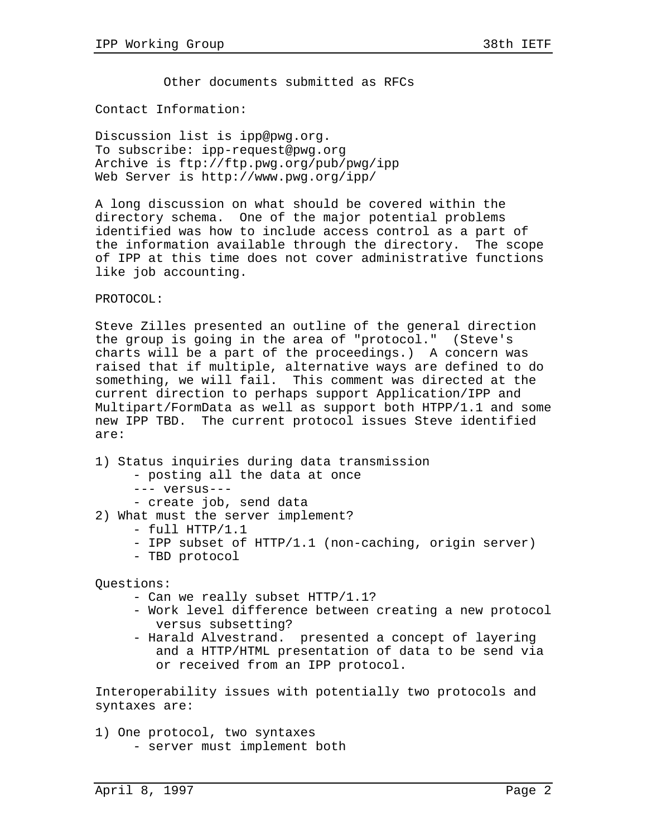Other documents submitted as RFCs

Contact Information:

Discussion list is ipp@pwg.org. To subscribe: ipp-request@pwg.org Archive is ftp://ftp.pwg.org/pub/pwg/ipp Web Server is http://www.pwg.org/ipp/

A long discussion on what should be covered within the directory schema. One of the major potential problems identified was how to include access control as a part of the information available through the directory. The scope of IPP at this time does not cover administrative functions like job accounting.

PROTOCOL:

Steve Zilles presented an outline of the general direction the group is going in the area of "protocol." (Steve's charts will be a part of the proceedings.) A concern was raised that if multiple, alternative ways are defined to do something, we will fail. This comment was directed at the current direction to perhaps support Application/IPP and Multipart/FormData as well as support both HTPP/1.1 and some new IPP TBD. The current protocol issues Steve identified are:

1) Status inquiries during data transmission

- posting all the data at once
- --- versus---
- create job, send data

2) What must the server implement?

- full HTTP/1.1
- IPP subset of HTTP/1.1 (non-caching, origin server)
- TBD protocol

Questions:

- Can we really subset HTTP/1.1?
- Work level difference between creating a new protocol versus subsetting?
- Harald Alvestrand. presented a concept of layering and a HTTP/HTML presentation of data to be send via or received from an IPP protocol.

Interoperability issues with potentially two protocols and syntaxes are:

1) One protocol, two syntaxes - server must implement both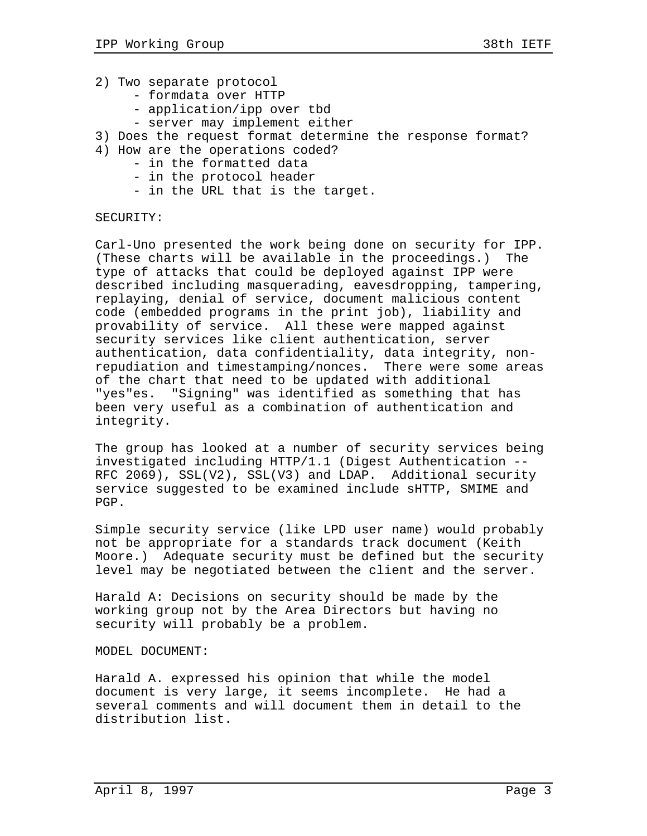- 2) Two separate protocol
	- formdata over HTTP
	- application/ipp over tbd
	- server may implement either
- 3) Does the request format determine the response format?
- 4) How are the operations coded?
	- in the formatted data
	- in the protocol header
	- in the URL that is the target.

## SECURITY:

Carl-Uno presented the work being done on security for IPP. (These charts will be available in the proceedings.) The type of attacks that could be deployed against IPP were described including masquerading, eavesdropping, tampering, replaying, denial of service, document malicious content code (embedded programs in the print job), liability and provability of service. All these were mapped against security services like client authentication, server authentication, data confidentiality, data integrity, nonrepudiation and timestamping/nonces. There were some areas of the chart that need to be updated with additional "yes"es. "Signing" was identified as something that has been very useful as a combination of authentication and integrity.

The group has looked at a number of security services being investigated including HTTP/1.1 (Digest Authentication -- RFC 2069), SSL(V2), SSL(V3) and LDAP. Additional security service suggested to be examined include sHTTP, SMIME and PGP.

Simple security service (like LPD user name) would probably not be appropriate for a standards track document (Keith Moore.) Adequate security must be defined but the security level may be negotiated between the client and the server.

Harald A: Decisions on security should be made by the working group not by the Area Directors but having no security will probably be a problem.

MODEL DOCUMENT:

Harald A. expressed his opinion that while the model document is very large, it seems incomplete. He had a several comments and will document them in detail to the distribution list.